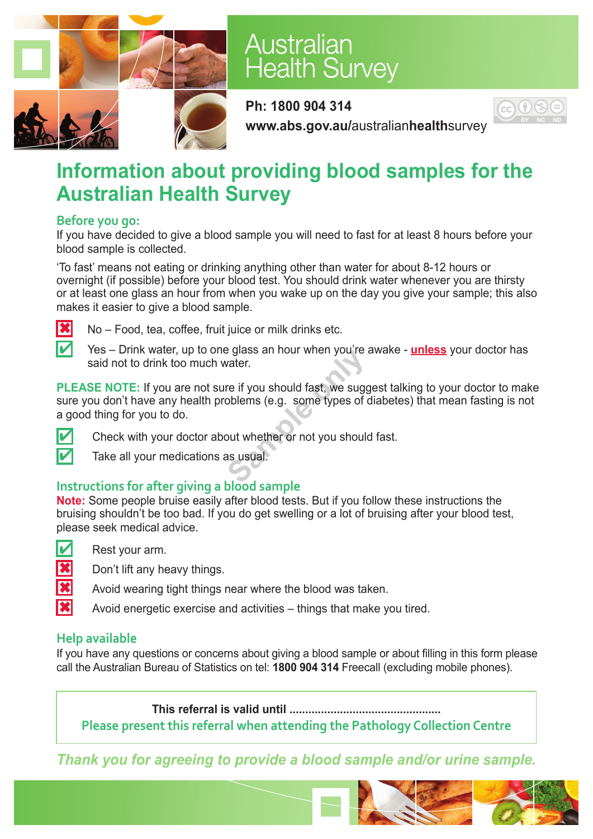

## Australian **Health Survey**

**Ph: 1800 904 314 www.abs.gov.au/**australian**health**survey



### **Information about providing blood samples for the Australian Health Survey**

#### **Before you go:**

If you have decided to give a blood sample you will need to fast for at least 8 hours before your blood sample is collected.

'To fast' means not eating or drinking anything other than water for about 8-12 hours or overnight (if possible) before your blood test. You should drink water whenever you are thirsty or at least one glass an hour from when you wake up on the day you give your sample; this also makes it easier to give a blood sample.



 $|\mathbf{\divideontimes}|$  No – Food, tea, coffee, fruit juice or milk drinks etc.

Yes – Drink water, up to one glass an hour when you're awake - **unless** your doctor has said not to drink too much water.

**PLEASE NOTE:** If you are not sure if you should fast, we suggest talking to your doctor to make sure you don't have any health problems (e.g. some types of diabetes) that mean fasting is not a good thing for you to do. **Sample only the Sydner Sydner Sydner.**<br> **Sample Sydner Sydner Sydner Sydner Sydner Sydner Sydner Sydner Sydner Sydner Sydner Sydner Sydner Sydner Sydner Sydner Sydner Sydner Sydner Sydner Sydner Sydner Sydner Sydner Sydne** 



 $\blacksquare$  Check with your doctor about whether or not you should fast.

Take all your medications as usual.

### **Instructions for after giving a blood sample**

**Note:** Some people bruise easily after blood tests. But if you follow these instructions the bruising shouldn't be too bad. If you do get swelling or a lot of bruising after your blood test, please seek medical advice.



 $\triangleright$  Rest your arm.

 $\left| \right\rangle$  Don't lift any heavy things.

Avoid wearing tight things near where the blood was taken.

Avoid energetic exercise and activities – things that make you tired.

### **Help available**

If you have any questions or concerns about giving a blood sample or about filling in this form please call the Australian Bureau of Statistics on tel: **1800 904 314** Freecall (excluding mobile phones).

**This referral is valid until ................................................ Please present this referral when attending the Pathology Collection Centre**

*Thank you for agreeing to provide a blood sample and/or urine sample.*

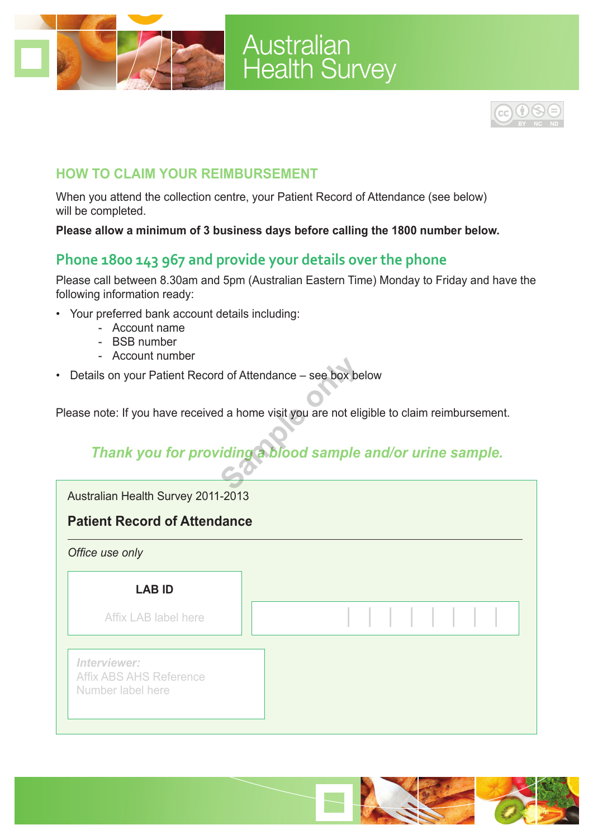

# **Australian<br>Health Survey**



### **How to claim your reimbursement**

When you attend the collection centre, your Patient Record of Attendance (see below) will be completed.

**Please allow a minimum of 3 business days before calling the 1800 number below.**

### **Phone 1800 143 967 and provide your details over the phone**

Please call between 8.30am and 5pm (Australian Eastern Time) Monday to Friday and have the following information ready:

- Your preferred bank account details including:
	- Account name
	- BSB number
	- Account number
- Details on your Patient Record of Attendance see box below

Please note: If you have received a home visit you are not eligible to claim reimbursement.

### *Thank you for providing a blood sample and/or urine sample.*

Australian Health Survey 2011-2013

### **Patient Record of Attendance**



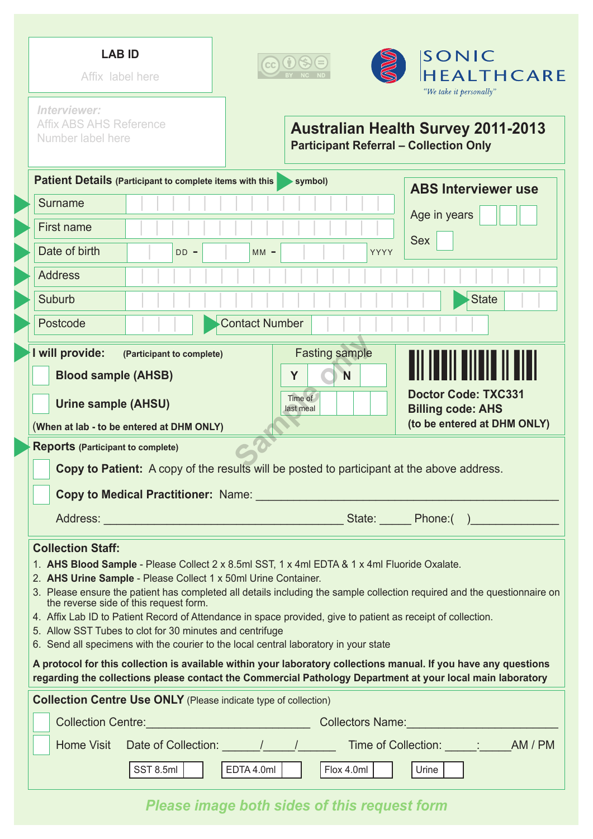| <b>LAB ID</b><br>Affix label here                                                                                                                                                                                                                                                                                                                                                                                                                                                                                                                                                                                                    | SONIC<br><b>HEALTHCARE</b><br>"We take it personally"                                                                                                                                                        |
|--------------------------------------------------------------------------------------------------------------------------------------------------------------------------------------------------------------------------------------------------------------------------------------------------------------------------------------------------------------------------------------------------------------------------------------------------------------------------------------------------------------------------------------------------------------------------------------------------------------------------------------|--------------------------------------------------------------------------------------------------------------------------------------------------------------------------------------------------------------|
| Interviewer:<br><b>Affix ABS AHS Reference</b><br>Number label here                                                                                                                                                                                                                                                                                                                                                                                                                                                                                                                                                                  | <b>Australian Health Survey 2011-2013</b><br><b>Participant Referral - Collection Only</b>                                                                                                                   |
| Patient Details (Participant to complete items with this                                                                                                                                                                                                                                                                                                                                                                                                                                                                                                                                                                             | symbol)<br><b>ABS Interviewer use</b>                                                                                                                                                                        |
| Surname                                                                                                                                                                                                                                                                                                                                                                                                                                                                                                                                                                                                                              |                                                                                                                                                                                                              |
| First name                                                                                                                                                                                                                                                                                                                                                                                                                                                                                                                                                                                                                           | Age in years                                                                                                                                                                                                 |
| Date of birth<br>$DD -$                                                                                                                                                                                                                                                                                                                                                                                                                                                                                                                                                                                                              | <b>Sex</b><br>$MM -$<br>YYYY                                                                                                                                                                                 |
| <b>Address</b>                                                                                                                                                                                                                                                                                                                                                                                                                                                                                                                                                                                                                       |                                                                                                                                                                                                              |
| Suburb                                                                                                                                                                                                                                                                                                                                                                                                                                                                                                                                                                                                                               | <b>State</b>                                                                                                                                                                                                 |
| Postcode                                                                                                                                                                                                                                                                                                                                                                                                                                                                                                                                                                                                                             | <b>Contact Number</b>                                                                                                                                                                                        |
| I will provide:<br>(Participant to complete)<br><b>Blood sample (AHSB)</b><br><b>Urine sample (AHSU)</b><br>(When at lab - to be entered at DHM ONLY)                                                                                                                                                                                                                                                                                                                                                                                                                                                                                | <b>Fasting sample</b><br><b>N</b><br>Y<br><b>Doctor Code: TXC331</b><br>Time of<br><b>Billing code: AHS</b><br>last meal<br>(to be entered at DHM ONLY)                                                      |
| <b>Reports (Participant to complete)</b>                                                                                                                                                                                                                                                                                                                                                                                                                                                                                                                                                                                             | Copy to Patient: A copy of the results will be posted to participant at the above address.<br>Copy to Medical Practitioner: Name: 2008 2009 2009 2010 2020 2031 2040 2050 2061 2070 2081 2092 2094 2096 2097 |
| <b>Collection Staff:</b><br>1. AHS Blood Sample - Please Collect 2 x 8.5ml SST, 1 x 4ml EDTA & 1 x 4ml Fluoride Oxalate.<br>2. AHS Urine Sample - Please Collect 1 x 50ml Urine Container.<br>3. Please ensure the patient has completed all details including the sample collection required and the questionnaire on<br>the reverse side of this request form.<br>4. Affix Lab ID to Patient Record of Attendance in space provided, give to patient as receipt of collection.<br>5. Allow SST Tubes to clot for 30 minutes and centrifuge<br>6. Send all specimens with the courier to the local central laboratory in your state |                                                                                                                                                                                                              |
| A protocol for this collection is available within your laboratory collections manual. If you have any questions<br>regarding the collections please contact the Commercial Pathology Department at your local main laboratory                                                                                                                                                                                                                                                                                                                                                                                                       |                                                                                                                                                                                                              |
| <b>Collection Centre Use ONLY</b> (Please indicate type of collection)                                                                                                                                                                                                                                                                                                                                                                                                                                                                                                                                                               |                                                                                                                                                                                                              |
|                                                                                                                                                                                                                                                                                                                                                                                                                                                                                                                                                                                                                                      |                                                                                                                                                                                                              |
|                                                                                                                                                                                                                                                                                                                                                                                                                                                                                                                                                                                                                                      | $ $ Urine $ $                                                                                                                                                                                                |

*Please image both sides of this request form*